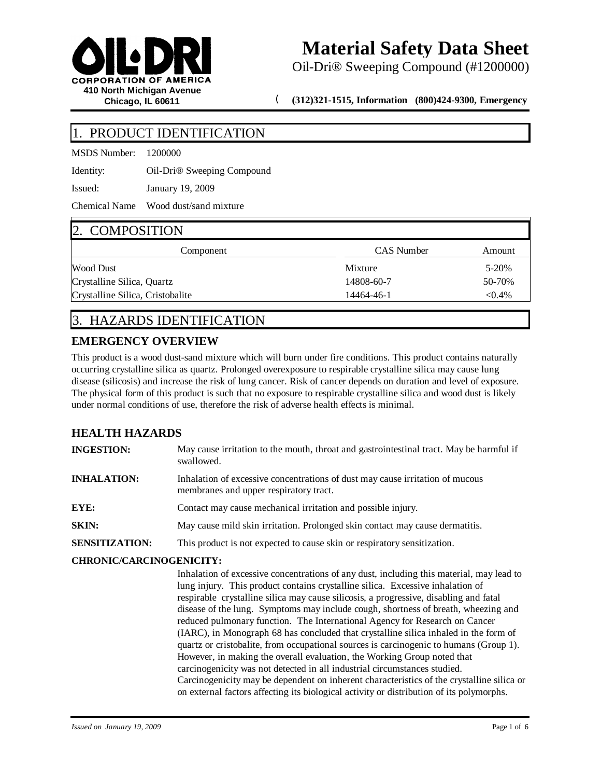

Oil-Dri® Sweeping Compound (#1200000)

( **(312)321-1515, Information (800)424-9300, Emergency**

## PRODUCT IDENTIFICATION

MSDS Number: 1200000

Identity: Oil-Dri® Sweeping Compound

Issued: January 19, 2009

Chemical Name Wood dust/sand mixture

## 2. COMPOSITION

| L. COMI ODITION                  |            |           |
|----------------------------------|------------|-----------|
| Component                        | CAS Number | Amount    |
| <b>Wood Dust</b>                 | Mixture    | 5-20%     |
| Crystalline Silica, Quartz       | 14808-60-7 | 50-70%    |
| Crystalline Silica, Cristobalite | 14464-46-1 | $< 0.4\%$ |

# 3. HAZARDS IDENTIFICATION

## **EMERGENCY OVERVIEW**

This product is a wood dust-sand mixture which will burn under fire conditions. This product contains naturally occurring crystalline silica as quartz. Prolonged overexposure to respirable crystalline silica may cause lung disease (silicosis) and increase the risk of lung cancer. Risk of cancer depends on duration and level of exposure. The physical form of this product is such that no exposure to respirable crystalline silica and wood dust is likely under normal conditions of use, therefore the risk of adverse health effects is minimal.

## **HEALTH HAZARDS**

| <b>INGESTION:</b>     | May cause irritation to the mouth, throat and gastrointestinal tract. May be harmful if<br>swallowed.                   |
|-----------------------|-------------------------------------------------------------------------------------------------------------------------|
| <b>INHALATION:</b>    | Inhalation of excessive concentrations of dust may cause irritation of mucous<br>membranes and upper respiratory tract. |
| EYE:                  | Contact may cause mechanical irritation and possible injury.                                                            |
| <b>SKIN:</b>          | May cause mild skin irritation. Prolonged skin contact may cause dermatitis.                                            |
| <b>SENSITIZATION:</b> | This product is not expected to cause skin or respiratory sensitization.                                                |

### **CHRONIC/CARCINOGENICITY:**

Inhalation of excessive concentrations of any dust, including this material, may lead to lung injury. This product contains crystalline silica. Excessive inhalation of respirable crystalline silica may cause silicosis, a progressive, disabling and fatal disease of the lung. Symptoms may include cough, shortness of breath, wheezing and reduced pulmonary function. The International Agency for Research on Cancer (IARC), in Monograph 68 has concluded that crystalline silica inhaled in the form of quartz or cristobalite, from occupational sources is carcinogenic to humans (Group 1). However, in making the overall evaluation, the Working Group noted that carcinogenicity was not detected in all industrial circumstances studied. Carcinogenicity may be dependent on inherent characteristics of the crystalline silica or on external factors affecting its biological activity or distribution of its polymorphs.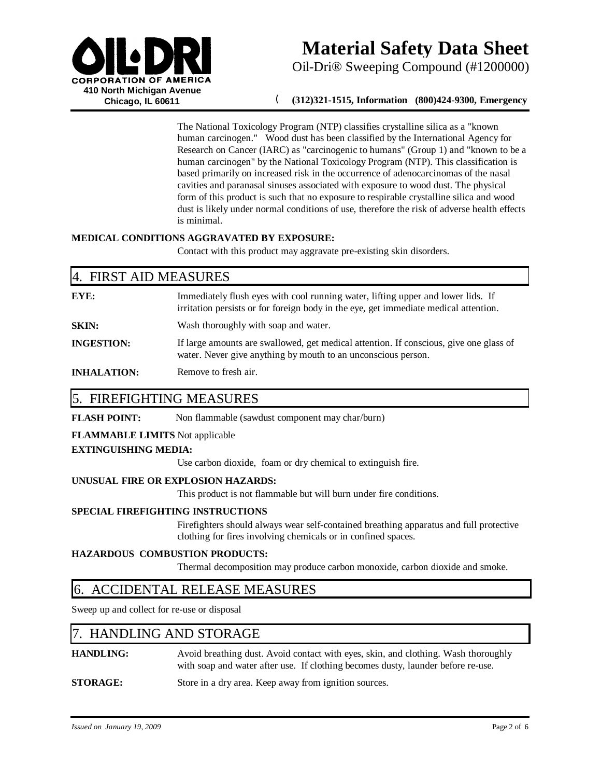

Oil-Dri® Sweeping Compound (#1200000)

### ( **(312)321-1515, Information (800)424-9300, Emergency**

The National Toxicology Program (NTP) classifies crystalline silica as a "known human carcinogen." Wood dust has been classified by the International Agency for Research on Cancer (IARC) as "carcinogenic to humans" (Group 1) and "known to be a human carcinogen" by the National Toxicology Program (NTP). This classification is based primarily on increased risk in the occurrence of adenocarcinomas of the nasal cavities and paranasal sinuses associated with exposure to wood dust. The physical form of this product is such that no exposure to respirable crystalline silica and wood dust is likely under normal conditions of use, therefore the risk of adverse health effects is minimal.

#### **MEDICAL CONDITIONS AGGRAVATED BY EXPOSURE:**

Contact with this product may aggravate pre-existing skin disorders.

| 4. FIRST AID MEASURES |                                                                                                                                                                          |  |
|-----------------------|--------------------------------------------------------------------------------------------------------------------------------------------------------------------------|--|
| EYE:                  | Immediately flush eyes with cool running water, lifting upper and lower lids. If<br>irritation persists or for foreign body in the eye, get immediate medical attention. |  |
| <b>SKIN:</b>          | Wash thoroughly with soap and water.                                                                                                                                     |  |
| <b>INGESTION:</b>     | If large amounts are swallowed, get medical attention. If conscious, give one glass of<br>water. Never give anything by mouth to an unconscious person.                  |  |
| <b>INHALATION:</b>    | Remove to fresh air.                                                                                                                                                     |  |

# 5. FIREFIGHTING MEASURES

**FLASH POINT:** Non flammable (sawdust component may char/burn)

#### **FLAMMABLE LIMITS** Not applicable

#### **EXTINGUISHING MEDIA:**

Use carbon dioxide, foam or dry chemical to extinguish fire.

#### **UNUSUAL FIRE OR EXPLOSION HAZARDS:**

This product is not flammable but will burn under fire conditions.

#### **SPECIAL FIREFIGHTING INSTRUCTIONS**

Firefighters should always wear self-contained breathing apparatus and full protective clothing for fires involving chemicals or in confined spaces.

#### **HAZARDOUS COMBUSTION PRODUCTS:**

Thermal decomposition may produce carbon monoxide, carbon dioxide and smoke.

## 6. ACCIDENTAL RELEASE MEASURES

Sweep up and collect for re-use or disposal

## 7. HANDLING AND STORAGE

**HANDLING:** Avoid breathing dust. Avoid contact with eyes, skin, and clothing. Wash thoroughly with soap and water after use. If clothing becomes dusty, launder before re-use.

**STORAGE:** Store in a dry area. Keep away from ignition sources.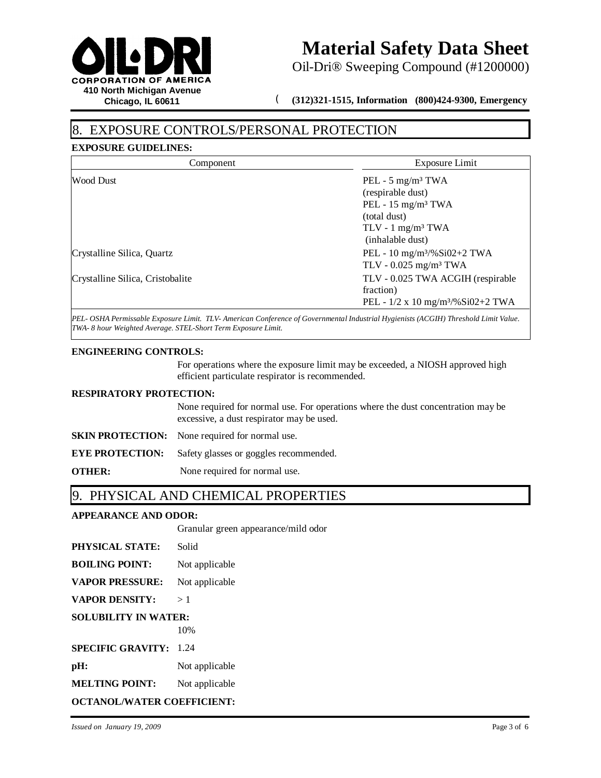

Oil-Dri® Sweeping Compound (#1200000)

( **(312)321-1515, Information (800)424-9300, Emergency**

# EXPOSURE CONTROLS/PERSONAL PROTECTION

### **EXPOSURE GUIDELINES:**

| Exposure Limit                                  |
|-------------------------------------------------|
| PEL - $5 \text{ mg/m}^3$ TWA                    |
| (respirable dust)                               |
| PEL - $15 \text{ mg/m}^3$ TWA                   |
| (total dust)                                    |
| $TLV - 1$ mg/m <sup>3</sup> TWA                 |
| (inhalable dust)                                |
| PEL - 10 mg/m <sup>3</sup> /%Si02+2 TWA         |
| TLV - $0.025$ mg/m <sup>3</sup> TWA             |
| TLV - 0.025 TWA ACGIH (respirable               |
| fraction)                                       |
| PEL - $1/2$ x 10 mg/m <sup>3</sup> /%Si02+2 TWA |
|                                                 |

*PEL- OSHA Permissable Exposure Limit. TLV- American Conference of Governmental Industrial Hygienists (ACGIH) Threshold Limit Value. TWA- 8 hour Weighted Average. STEL-Short Term Exposure Limit.*

#### **ENGINEERING CONTROLS:**

For operations where the exposure limit may be exceeded, a NIOSH approved high efficient particulate respirator is recommended.

#### **RESPIRATORY PROTECTION:**

None required for normal use. For operations where the dust concentration may be excessive, a dust respirator may be used.

**SKIN PROTECTION:** None required for normal use.

**EYE PROTECTION:** Safety glasses or goggles recommended.

**OTHER:** None required for normal use.

## 9. PHYSICAL AND CHEMICAL PROPERTIES

### **APPEARANCE AND ODOR:**

Granular green appearance/mild odor

| <b>PHYSICAL STATE:</b> | Solid |
|------------------------|-------|
|------------------------|-------|

| <b>BOILING POINT:</b> | Not applicable |
|-----------------------|----------------|
|-----------------------|----------------|

**VAPOR PRESSURE:** Not applicable

**VAPOR DENSITY:** > 1

**SOLUBILITY IN WATER:**

10%

**SPECIFIC GRAVITY:** 1.24

**pH:** Not applicable

**MELTING POINT:** Not applicable

**OCTANOL/WATER COEFFICIENT:**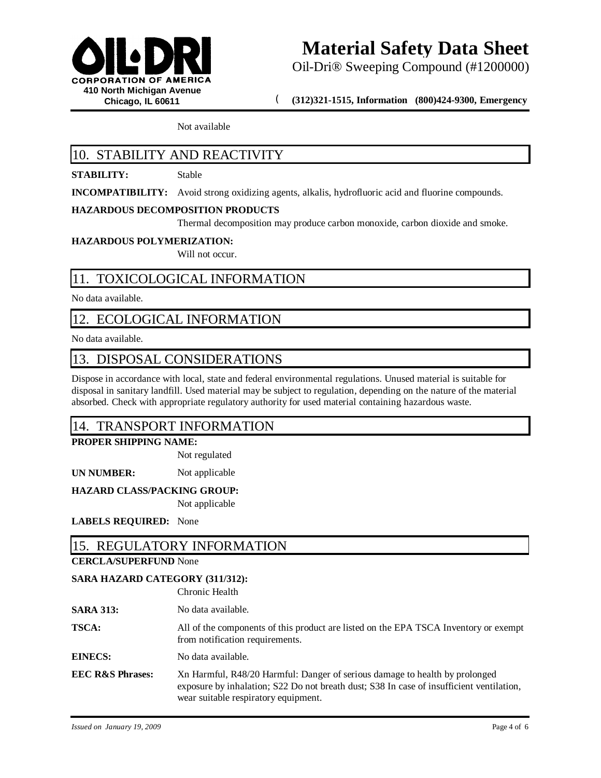

Oil-Dri® Sweeping Compound (#1200000)

( **(312)321-1515, Information (800)424-9300, Emergency**

Not available

# 10. STABILITY AND REACTIVITY

### **STABILITY:** Stable

**INCOMPATIBILITY:** Avoid strong oxidizing agents, alkalis, hydrofluoric acid and fluorine compounds.

### **HAZARDOUS DECOMPOSITION PRODUCTS**

Thermal decomposition may produce carbon monoxide, carbon dioxide and smoke.

#### **HAZARDOUS POLYMERIZATION:**

Will not occur.

# 11. TOXICOLOGICAL INFORMATION

No data available.

## 12. ECOLOGICAL INFORMATION

No data available.

## 13. DISPOSAL CONSIDERATIONS

Dispose in accordance with local, state and federal environmental regulations. Unused material is suitable for disposal in sanitary landfill. Used material may be subject to regulation, depending on the nature of the material absorbed. Check with appropriate regulatory authority for used material containing hazardous waste.

## 14. TRANSPORT INFORMATION

### **PROPER SHIPPING NAME:**

Not regulated

**UN NUMBER:** Not applicable

### **HAZARD CLASS/PACKING GROUP:**

Not applicable

### **LABELS REQUIRED:** None

## 15. REGULATORY INFORMATION

### **CERCLA/SUPERFUND** None

### **SARA HAZARD CATEGORY (311/312):**

Chronic Health

- **SARA 313:** No data available.
- **TSCA:** All of the components of this product are listed on the EPA TSCA Inventory or exempt from notification requirements.
- **EINECS:** No data available.
- **EEC R&S Phrases:** Xn Harmful, R48/20 Harmful: Danger of serious damage to health by prolonged exposure by inhalation; S22 Do not breath dust; S38 In case of insufficient ventilation, wear suitable respiratory equipment.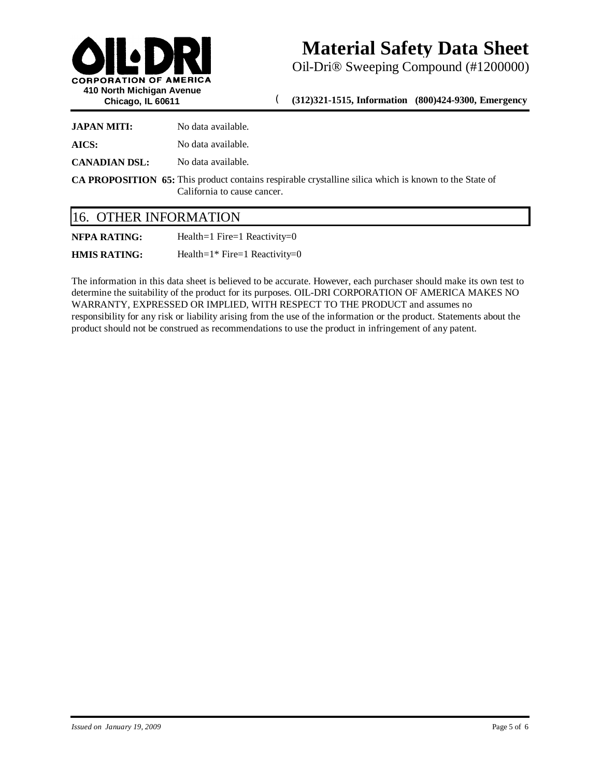

Oil-Dri® Sweeping Compound (#1200000)

( **(312)321-1515, Information (800)424-9300, Emergency**

| <b>JAPAN MITI:</b>   | No data available.                                                                                                                          |
|----------------------|---------------------------------------------------------------------------------------------------------------------------------------------|
| AICS:                | No data available.                                                                                                                          |
| <b>CANADIAN DSL:</b> | No data available.                                                                                                                          |
|                      | <b>CA PROPOSITION 65:</b> This product contains respirable crystalline silica which is known to the State of<br>California to cause cancer. |

| 16. OTHER INFORMATION |  |
|-----------------------|--|
|-----------------------|--|

| NFPA RATING: | Health=1 Fire=1 Reactivity=0 |
|--------------|------------------------------|
|              |                              |

**HMIS RATING:** Health=1\* Fire=1 Reactivity=0

The information in this data sheet is believed to be accurate. However, each purchaser should make its own test to determine the suitability of the product for its purposes. OIL-DRI CORPORATION OF AMERICA MAKES NO WARRANTY, EXPRESSED OR IMPLIED, WITH RESPECT TO THE PRODUCT and assumes no responsibility for any risk or liability arising from the use of the information or the product. Statements about the product should not be construed as recommendations to use the product in infringement of any patent.